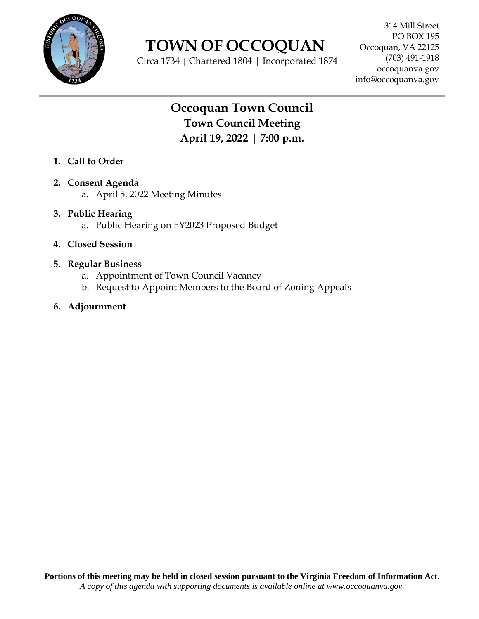

 **TOWN OF OCCOQUAN**

Circa 1734 | Chartered 1804 | Incorporated 1874

# **Occoquan Town Council Town Council Meeting April 19, 2022 | 7:00 p.m.**

- **1. Call to Order**
- **2. Consent Agenda**
	- a. April 5, 2022 Meeting Minutes
- **3. Public Hearing** a. Public Hearing on FY2023 Proposed Budget
- **4. Closed Session**
- **5. Regular Business**
	- a. Appointment of Town Council Vacancy
	- b. Request to Appoint Members to the Board of Zoning Appeals
- **6. Adjournment**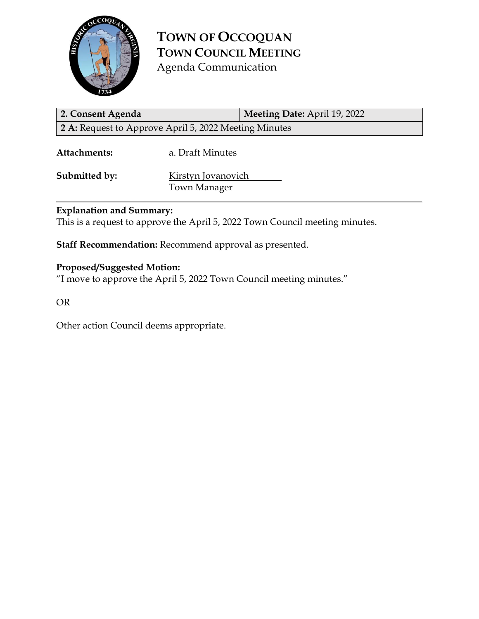

**TOWN OF OCCOQUAN TOWN COUNCIL MEETING** Agenda Communication

**2. Consent Agenda Meeting Date:** April 19, 2022 **2 A:** Request to Approve April 5, 2022 Meeting Minutes

**Attachments:** a. Draft Minutes

**Submitted by:** Kirstyn Jovanovich Town Manager

# **Explanation and Summary:**

This is a request to approve the April 5, 2022 Town Council meeting minutes.

**Staff Recommendation:** Recommend approval as presented.

# **Proposed/Suggested Motion:**

"I move to approve the April 5, 2022 Town Council meeting minutes."

OR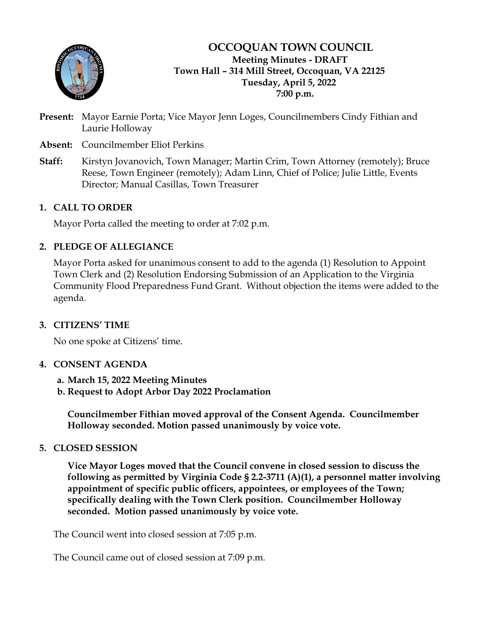

**OCCOQUAN TOWN COUNCIL Meeting Minutes - DRAFT Town Hall – 314 Mill Street, Occoquan, VA 22125 Tuesday, April 5, 2022 7:00 p.m.**

- **Present:** Mayor Earnie Porta; Vice Mayor Jenn Loges, Councilmembers Cindy Fithian and Laurie Holloway
- **Absent:** Councilmember Eliot Perkins
- **Staff:** Kirstyn Jovanovich, Town Manager; Martin Crim, Town Attorney (remotely); Bruce Reese, Town Engineer (remotely); Adam Linn, Chief of Police; Julie Little, Events Director; Manual Casillas, Town Treasurer

# **1. CALL TO ORDER**

Mayor Porta called the meeting to order at 7:02 p.m.

# **2. PLEDGE OF ALLEGIANCE**

Mayor Porta asked for unanimous consent to add to the agenda (1) Resolution to Appoint Town Clerk and (2) Resolution Endorsing Submission of an Application to the Virginia Community Flood Preparedness Fund Grant. Without objection the items were added to the agenda.

# **3. CITIZENS' TIME**

No one spoke at Citizens' time.

# **4. CONSENT AGENDA**

- **a. March 15, 2022 Meeting Minutes**
- **b. Request to Adopt Arbor Day 2022 Proclamation**

**Councilmember Fithian moved approval of the Consent Agenda. Councilmember Holloway seconded. Motion passed unanimously by voice vote.**

# **5. CLOSED SESSION**

**Vice Mayor Loges moved that the Council convene in closed session to discuss the following as permitted by Virginia Code § 2.2-3711 (A)(1), a personnel matter involving appointment of specific public officers, appointees, or employees of the Town; specifically dealing with the Town Clerk position. Councilmember Holloway seconded. Motion passed unanimously by voice vote.**

The Council went into closed session at 7:05 p.m.

The Council came out of closed session at 7:09 p.m.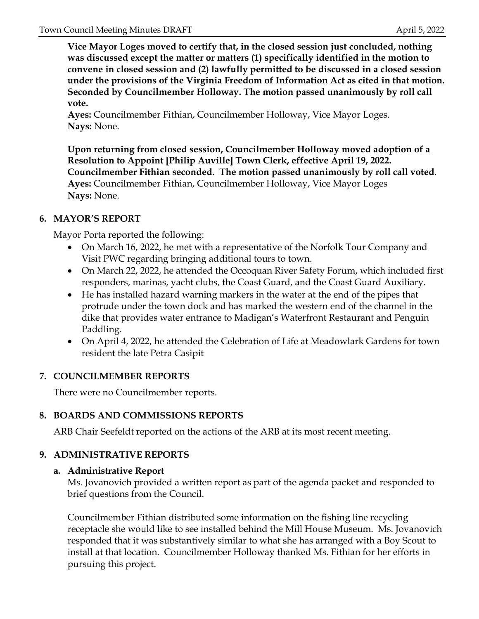**Vice Mayor Loges moved to certify that, in the closed session just concluded, nothing was discussed except the matter or matters (1) specifically identified in the motion to convene in closed session and (2) lawfully permitted to be discussed in a closed session under the provisions of the Virginia Freedom of Information Act as cited in that motion. Seconded by Councilmember Holloway. The motion passed unanimously by roll call vote.**

**Ayes:** Councilmember Fithian, Councilmember Holloway, Vice Mayor Loges. **Nays:** None.

**Upon returning from closed session, Councilmember Holloway moved adoption of a Resolution to Appoint [Philip Auville] Town Clerk, effective April 19, 2022. Councilmember Fithian seconded. The motion passed unanimously by roll call voted**. **Ayes:** Councilmember Fithian, Councilmember Holloway, Vice Mayor Loges **Nays:** None.

# **6. MAYOR'S REPORT**

Mayor Porta reported the following:

- On March 16, 2022, he met with a representative of the Norfolk Tour Company and Visit PWC regarding bringing additional tours to town.
- On March 22, 2022, he attended the Occoquan River Safety Forum, which included first responders, marinas, yacht clubs, the Coast Guard, and the Coast Guard Auxiliary.
- He has installed hazard warning markers in the water at the end of the pipes that protrude under the town dock and has marked the western end of the channel in the dike that provides water entrance to Madigan's Waterfront Restaurant and Penguin Paddling.
- On April 4, 2022, he attended the Celebration of Life at Meadowlark Gardens for town resident the late Petra Casipit

# **7. COUNCILMEMBER REPORTS**

There were no Councilmember reports.

# **8. BOARDS AND COMMISSIONS REPORTS**

ARB Chair Seefeldt reported on the actions of the ARB at its most recent meeting.

# **9. ADMINISTRATIVE REPORTS**

# **a. Administrative Report**

Ms. Jovanovich provided a written report as part of the agenda packet and responded to brief questions from the Council.

Councilmember Fithian distributed some information on the fishing line recycling receptacle she would like to see installed behind the Mill House Museum. Ms. Jovanovich responded that it was substantively similar to what she has arranged with a Boy Scout to install at that location. Councilmember Holloway thanked Ms. Fithian for her efforts in pursuing this project.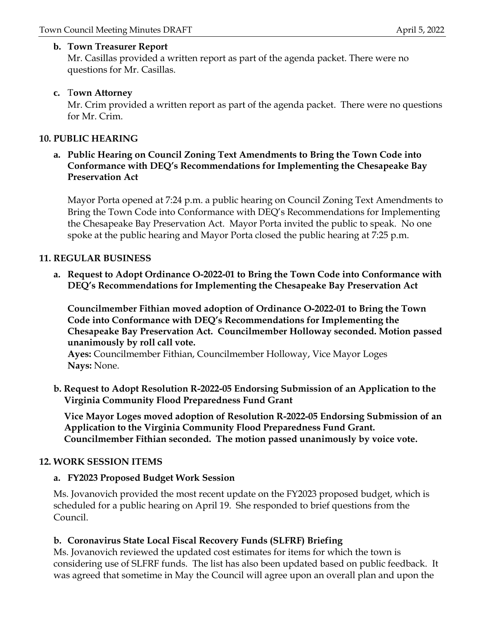### **b. Town Treasurer Report**

Mr. Casillas provided a written report as part of the agenda packet. There were no questions for Mr. Casillas.

# **c.** T**own Attorney**

Mr. Crim provided a written report as part of the agenda packet. There were no questions for Mr. Crim.

# **10. PUBLIC HEARING**

### **a. Public Hearing on Council Zoning Text Amendments to Bring the Town Code into Conformance with DEQ's Recommendations for Implementing the Chesapeake Bay Preservation Act**

Mayor Porta opened at 7:24 p.m. a public hearing on Council Zoning Text Amendments to Bring the Town Code into Conformance with DEQ's Recommendations for Implementing the Chesapeake Bay Preservation Act. Mayor Porta invited the public to speak. No one spoke at the public hearing and Mayor Porta closed the public hearing at 7:25 p.m.

### **11. REGULAR BUSINESS**

**a. Request to Adopt Ordinance O-2022-01 to Bring the Town Code into Conformance with DEQ's Recommendations for Implementing the Chesapeake Bay Preservation Act**

**Councilmember Fithian moved adoption of Ordinance O-2022-01 to Bring the Town Code into Conformance with DEQ's Recommendations for Implementing the Chesapeake Bay Preservation Act. Councilmember Holloway seconded. Motion passed unanimously by roll call vote.**

**Ayes:** Councilmember Fithian, Councilmember Holloway, Vice Mayor Loges **Nays:** None.

**b. Request to Adopt Resolution R-2022-05 Endorsing Submission of an Application to the Virginia Community Flood Preparedness Fund Grant**

**Vice Mayor Loges moved adoption of Resolution R-2022-05 Endorsing Submission of an Application to the Virginia Community Flood Preparedness Fund Grant. Councilmember Fithian seconded. The motion passed unanimously by voice vote.**

# **12. WORK SESSION ITEMS**

#### **a. FY2023 Proposed Budget Work Session**

Ms. Jovanovich provided the most recent update on the FY2023 proposed budget, which is scheduled for a public hearing on April 19. She responded to brief questions from the Council.

# **b. Coronavirus State Local Fiscal Recovery Funds (SLFRF) Briefing**

Ms. Jovanovich reviewed the updated cost estimates for items for which the town is considering use of SLFRF funds. The list has also been updated based on public feedback. It was agreed that sometime in May the Council will agree upon an overall plan and upon the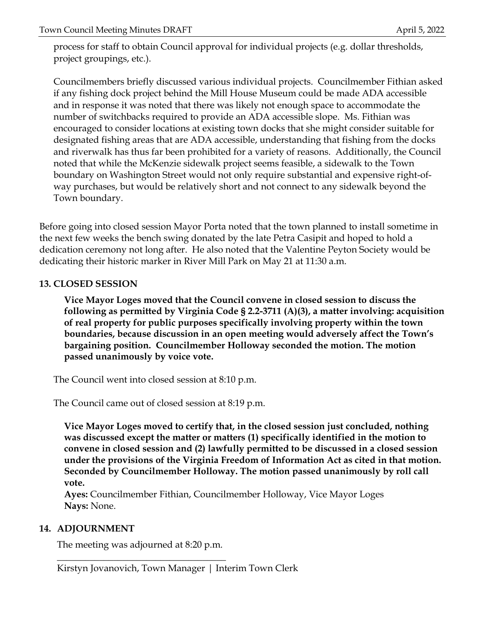process for staff to obtain Council approval for individual projects (e.g. dollar thresholds, project groupings, etc.).

Councilmembers briefly discussed various individual projects. Councilmember Fithian asked if any fishing dock project behind the Mill House Museum could be made ADA accessible and in response it was noted that there was likely not enough space to accommodate the number of switchbacks required to provide an ADA accessible slope. Ms. Fithian was encouraged to consider locations at existing town docks that she might consider suitable for designated fishing areas that are ADA accessible, understanding that fishing from the docks and riverwalk has thus far been prohibited for a variety of reasons. Additionally, the Council noted that while the McKenzie sidewalk project seems feasible, a sidewalk to the Town boundary on Washington Street would not only require substantial and expensive right-ofway purchases, but would be relatively short and not connect to any sidewalk beyond the Town boundary.

Before going into closed session Mayor Porta noted that the town planned to install sometime in the next few weeks the bench swing donated by the late Petra Casipit and hoped to hold a dedication ceremony not long after. He also noted that the Valentine Peyton Society would be dedicating their historic marker in River Mill Park on May 21 at 11:30 a.m.

# **13. CLOSED SESSION**

**Vice Mayor Loges moved that the Council convene in closed session to discuss the following as permitted by Virginia Code § 2.2-3711 (A)(3), a matter involving: acquisition of real property for public purposes specifically involving property within the town boundaries, because discussion in an open meeting would adversely affect the Town's bargaining position. Councilmember Holloway seconded the motion. The motion passed unanimously by voice vote.**

The Council went into closed session at 8:10 p.m.

The Council came out of closed session at 8:19 p.m.

**Vice Mayor Loges moved to certify that, in the closed session just concluded, nothing was discussed except the matter or matters (1) specifically identified in the motion to convene in closed session and (2) lawfully permitted to be discussed in a closed session under the provisions of the Virginia Freedom of Information Act as cited in that motion. Seconded by Councilmember Holloway. The motion passed unanimously by roll call vote.**

**Ayes:** Councilmember Fithian, Councilmember Holloway, Vice Mayor Loges **Nays:** None.

# **14. ADJOURNMENT**

The meeting was adjourned at 8:20 p.m. \_\_\_\_\_\_\_\_\_\_\_\_\_\_\_\_\_\_\_\_\_\_\_\_\_\_\_\_\_\_\_\_\_\_\_\_

Kirstyn Jovanovich, Town Manager | Interim Town Clerk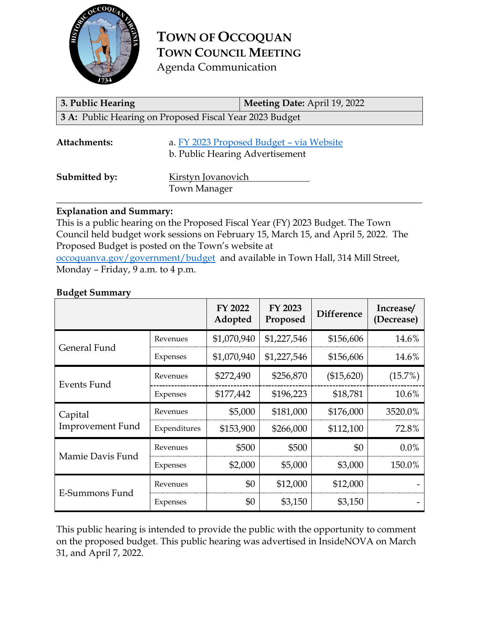

**TOWN OF OCCOQUAN TOWN COUNCIL MEETING** Agenda Communication

| 3. Public Hearing | Meeting Date: April 19, 2022                                                |
|-------------------|-----------------------------------------------------------------------------|
|                   | 3 A: Public Hearing on Proposed Fiscal Year 2023 Budget                     |
| Attachments:      | a. FY 2023 Proposed Budget - via Website<br>b. Public Hearing Advertisement |
| Submitted by:     | Kirstyn Jovanovich<br><b>Town Manager</b>                                   |

### **Explanation and Summary:**

This is a public hearing on the Proposed Fiscal Year (FY) 2023 Budget. The Town Council held budget work sessions on February 15, March 15, and April 5, 2022. The Proposed Budget is posted on the Town's website at [occoquanva.gov/government/budget](https://www.occoquanva.gov/government/budget) and available in Town Hall, 314 Mill Street, Monday – Friday, 9 a.m. to 4 p.m.

#### **Budget Summary**

|                                    |              | FY 2022<br>Adopted | FY 2023<br>Proposed | <b>Difference</b> | Increase/<br>(Decrease) |
|------------------------------------|--------------|--------------------|---------------------|-------------------|-------------------------|
| General Fund                       | Revenues     | \$1,070,940        | \$1,227,546         | \$156,606         | 14.6%                   |
|                                    | Expenses     | \$1,070,940        | \$1,227,546         | \$156,606         | 14.6%                   |
| Events Fund                        | Revenues     | \$272,490          | \$256,870           | (\$15,620)        | (15.7%)                 |
|                                    | Expenses     | \$177,442          | \$196,223           | \$18,781          | 10.6%                   |
| Capital<br><b>Improvement Fund</b> | Revenues     | \$5,000            | \$181,000           | \$176,000         | 3520.0%                 |
|                                    | Expenditures | \$153,900          | \$266,000           | \$112,100         | 72.8%                   |
| Mamie Davis Fund                   | Revenues     | \$500              | \$500               | \$0               | $0.0\%$                 |
|                                    | Expenses     | \$2,000            | \$5,000             | \$3,000           | 150.0%                  |
| E-Summons Fund                     | Revenues     | \$0                | \$12,000            | \$12,000          |                         |
|                                    | Expenses     | \$0                | \$3,150             | \$3,150           |                         |

This public hearing is intended to provide the public with the opportunity to comment on the proposed budget. This public hearing was advertised in InsideNOVA on March 31, and April 7, 2022.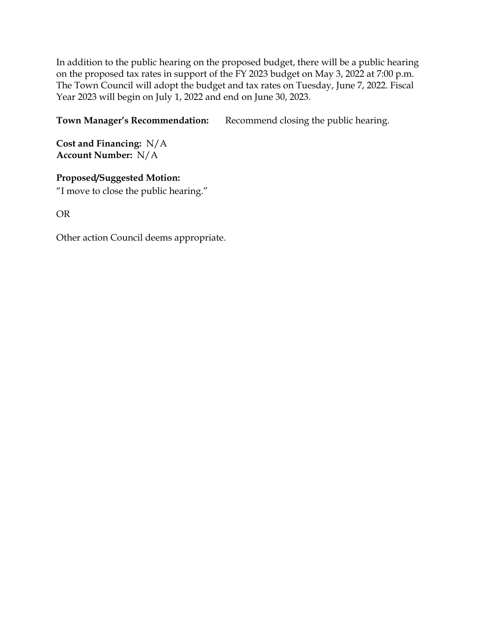In addition to the public hearing on the proposed budget, there will be a public hearing on the proposed tax rates in support of the FY 2023 budget on May 3, 2022 at 7:00 p.m. The Town Council will adopt the budget and tax rates on Tuesday, June 7, 2022. Fiscal Year 2023 will begin on July 1, 2022 and end on June 30, 2023.

**Town Manager's Recommendation:** Recommend closing the public hearing.

**Cost and Financing:** N/A **Account Number:** N/A

**Proposed/Suggested Motion:** "I move to close the public hearing."

OR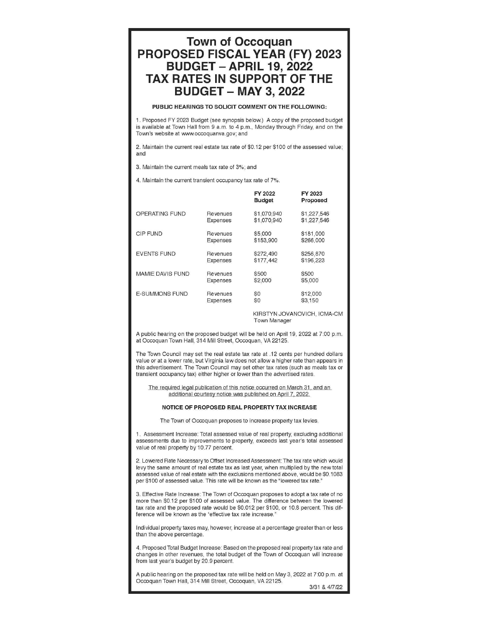# **Town of Occoquan PROPOSED FISCAL YEAR (FY) 2023 BUDGET - APRIL 19. 2022 TAX RATES IN SUPPORT OF THE BUDGET - MAY 3, 2022**

#### PUBLIC HEARINGS TO SOLICIT COMMENT ON THE FOLLOWING:

1. Proposed FY 2023 Budget (see synopsis below.) A copy of the proposed budget is available at Town Hall from 9 a.m. to 4 p.m., Monday through Friday, and on the Town's website at www.occoquanva.gov; and

2. Maintain the current real estate tax rate of \$0.12 per \$100 of the assessed value; and

3. Maintain the current meals tax rate of 3%; and

4. Maintain the current transient occupancy tax rate of 7%.

|                       |                 | FY 2022<br><b>Budget</b> | FY 2023<br>Proposed |
|-----------------------|-----------------|--------------------------|---------------------|
| OPERATING FUND        | Revenues        | \$1,070,940              | \$1,227,546         |
|                       | Expenses        | \$1,070,940              | \$1,227,546         |
| <b>CIP FUND</b>       | Revenues        | \$5,000                  | \$181,000           |
|                       | <b>Expenses</b> | \$153,900                | \$266,000           |
| <b>EVENTS FUND</b>    | Revenues        | \$272,490                | \$256,870           |
|                       | Expenses        | \$177,442                | \$196,223           |
| MAMIE DAVIS FUND      | Revenues        | \$500                    | \$500               |
|                       | Expenses        | \$2,000                  | \$5,000             |
| <b>E-SUMMONS FUND</b> | Revenues        | \$0                      | \$12,000            |
|                       | <b>Expenses</b> | \$0                      | \$3,150             |

KIRSTYN JOVANOVICH, ICMA-CM **Town Manager** 

A public hearing on the proposed budget will be held on April 19, 2022 at 7:00 p.m. at Occoquan Town Hall, 314 Mill Street, Occoquan, VA 22125.

The Town Council may set the real estate tax rate at .12 cents per hundred dollars value or at a lower rate, but Virginia law does not allow a higher rate than appears in this advertisement. The Town Council may set other tax rates (such as meals tax or transient occupancy tax) either higher or lower than the advertised rates.

The required legal publication of this notice occurred on March 31, and an additional courtesy notice was published on April 7, 2022.

#### NOTICE OF PROPOSED REAL PROPERTY TAX INCREASE

The Town of Occoquan proposes to increase property tax levies

1. Assessment Increase: Total assessed value of real property, excluding additional assessments due to improvements to property, exceeds last year's total assessed value of real property by 10.77 percent.

2. Lowered Rate Necessary to Offset Increased Assessment: The tax rate which would levy the same amount of real estate tax as last year, when multiplied by the new total assessed value of real estate with the exclusions mentioned above, would be \$0.1083 per \$100 of assessed value. This rate will be known as the "lowered tax rate."

3. Effective Rate Increase: The Town of Occoquan proposes to adopt a tax rate of no more than \$0.12 per \$100 of assessed value. The difference between the lowered tax rate and the proposed rate would be \$0.012 per \$100, or 10.8 percent. This difference will be known as the "effective tax rate increase."

Individual property taxes may, however, increase at a percentage greater than or less than the above percentage.

4. Proposed Total Budget Increase: Based on the proposed real property tax rate and changes in other revenues, the total budget of the Town of Occoquan will increase from last year's budget by 20.9 percent.

A public hearing on the proposed tax rate will be held on May 3, 2022 at 7:00 p.m. at Occoquan Town Hall, 314 Mill Street, Occoquan, VA 22125.

3/31 & 4/7/22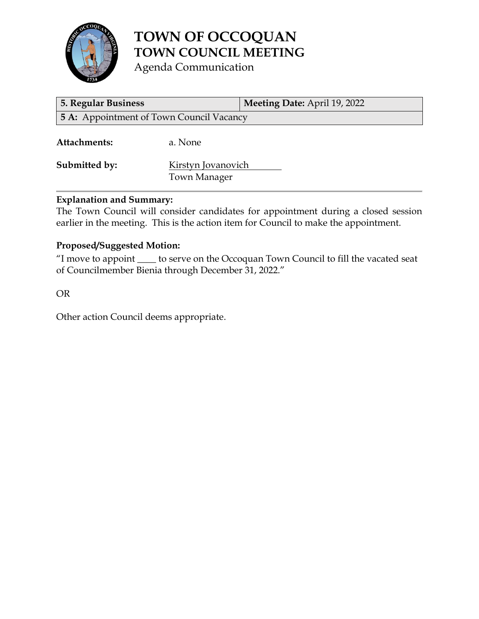

# **TOWN OF OCCOQUAN TOWN COUNCIL MEETING**

Agenda Communication

| 5. Regular Business                             |                                           | Meeting Date: April 19, 2022 |  |  |
|-------------------------------------------------|-------------------------------------------|------------------------------|--|--|
| <b>5 A:</b> Appointment of Town Council Vacancy |                                           |                              |  |  |
| Attachments:                                    | a. None                                   |                              |  |  |
| Submitted by:                                   | Kirstyn Jovanovich<br><b>Town Manager</b> |                              |  |  |

# **Explanation and Summary:**

The Town Council will consider candidates for appointment during a closed session earlier in the meeting. This is the action item for Council to make the appointment.

# **Proposed/Suggested Motion:**

"I move to appoint \_\_\_\_ to serve on the Occoquan Town Council to fill the vacated seat of Councilmember Bienia through December 31, 2022."

OR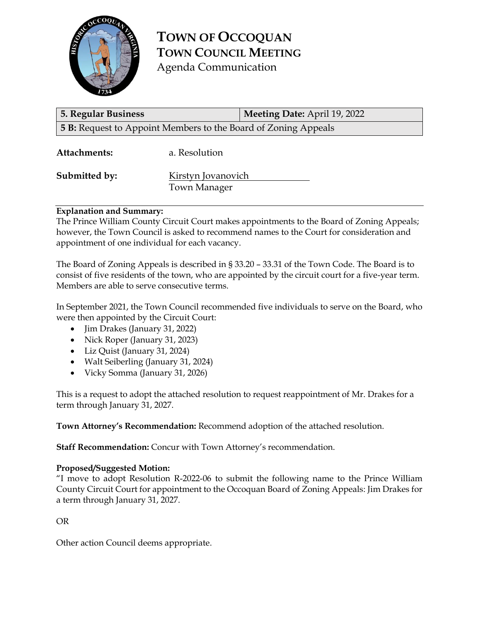

**TOWN OF OCCOQUAN TOWN COUNCIL MEETING** Agenda Communication

| <b>5. Regular Business</b>                                            |                                    | <b>Meeting Date: April 19, 2022</b> |  |  |
|-----------------------------------------------------------------------|------------------------------------|-------------------------------------|--|--|
| <b>5 B:</b> Request to Appoint Members to the Board of Zoning Appeals |                                    |                                     |  |  |
| Attachments:                                                          | a. Resolution                      |                                     |  |  |
| Submitted by:                                                         | Kirstyn Jovanovich<br>Town Manager |                                     |  |  |

#### **Explanation and Summary:**

The Prince William County Circuit Court makes appointments to the Board of Zoning Appeals; however, the Town Council is asked to recommend names to the Court for consideration and appointment of one individual for each vacancy.

The Board of Zoning Appeals is described in § 33.20 – 33.31 of the Town Code. The Board is to consist of five residents of the town, who are appointed by the circuit court for a five-year term. Members are able to serve consecutive terms.

In September 2021, the Town Council recommended five individuals to serve on the Board, who were then appointed by the Circuit Court:

- Jim Drakes (January 31, 2022)
- Nick Roper (January 31, 2023)
- Liz Quist (January 31, 2024)
- Walt Seiberling (January 31, 2024)
- Vicky Somma (January 31, 2026)

This is a request to adopt the attached resolution to request reappointment of Mr. Drakes for a term through January 31, 2027.

**Town Attorney's Recommendation:** Recommend adoption of the attached resolution.

**Staff Recommendation:** Concur with Town Attorney's recommendation.

#### **Proposed/Suggested Motion:**

"I move to adopt Resolution R-2022-06 to submit the following name to the Prince William County Circuit Court for appointment to the Occoquan Board of Zoning Appeals: Jim Drakes for a term through January 31, 2027.

OR